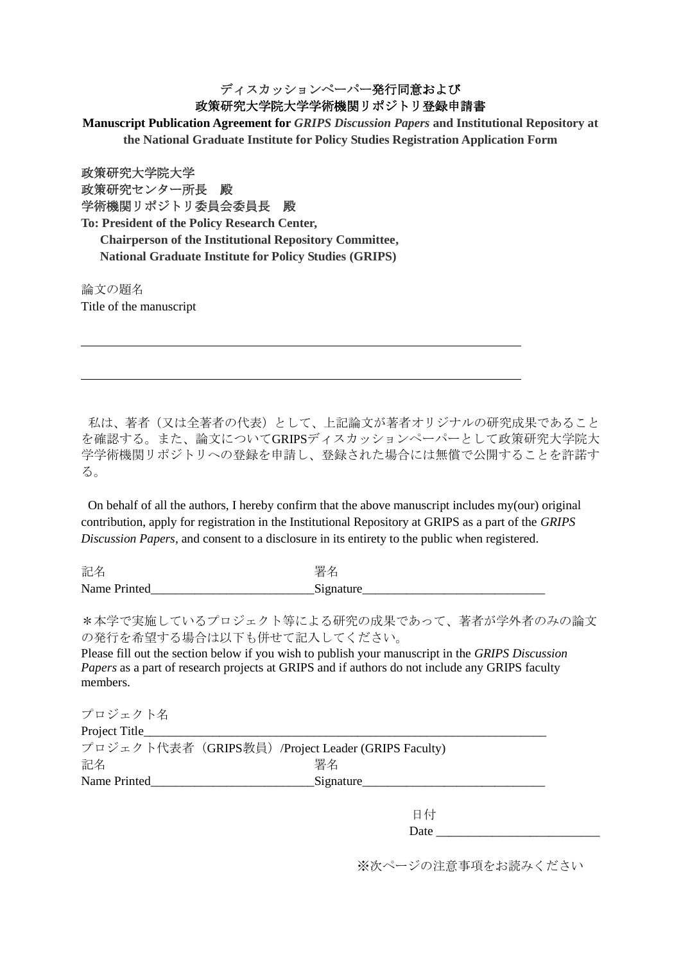## ディスカッションペーパー発行同意および 政策研究大学院大学学術機関リポジトリ登録申請書

**Manuscript Publication Agreement for** *GRIPS Discussion Papers* **and Institutional Repository at the National Graduate Institute for Policy Studies Registration Application Form**

政策研究大学院大学 政策研究センター所長 殿 学術機関リポジトリ委員会委員長 殿

**To: President of the Policy Research Center, Chairperson of the Institutional Repository Committee, National Graduate Institute for Policy Studies (GRIPS)**

論文の題名 Title of the manuscript

私は、著者(又は全著者の代表)として、上記論文が著者オリジナルの研究成果であること を確認する。また、論文についてGRIPSディスカッションペーパーとして政策研究大学院大 学学術機関リポジトリへの登録を申請し、登録された場合には無償で公開することを許諾す る。

On behalf of all the authors, I hereby confirm that the above manuscript includes my(our) original contribution, apply for registration in the Institutional Repository at GRIPS as a part of the *GRIPS Discussion Papers*, and consent to a disclosure in its entirety to the public when registered.

記名 いっきょう しゅうしょう かいこう 署名 Name Printed\_\_\_\_\_\_\_\_\_\_\_\_\_\_\_\_\_\_\_\_\_\_\_\_\_\_Signature\_\_\_\_\_\_\_\_\_\_\_\_\_\_\_\_\_\_\_\_\_\_\_\_\_\_\_\_\_

\*本学で実施しているプロジェクト等による研究の成果であって、著者が学外者のみの論文 の発行を希望する場合は以下も併せて記入してください。

Please fill out the section below if you wish to publish your manuscript in the *GRIPS Discussion Papers* as a part of research projects at GRIPS and if authors do not include any GRIPS faculty members.

| プロジェクト名        |                                                     |  |
|----------------|-----------------------------------------------------|--|
| Project Title_ |                                                     |  |
|                | プロジェクト代表者 (GRIPS教員) /Project Leader (GRIPS Faculty) |  |
| 記名             | 署名                                                  |  |
| Name Printed   | Signature                                           |  |
|                |                                                     |  |

日付 Date  $\Box$ 

※次ページの注意事項をお読みください